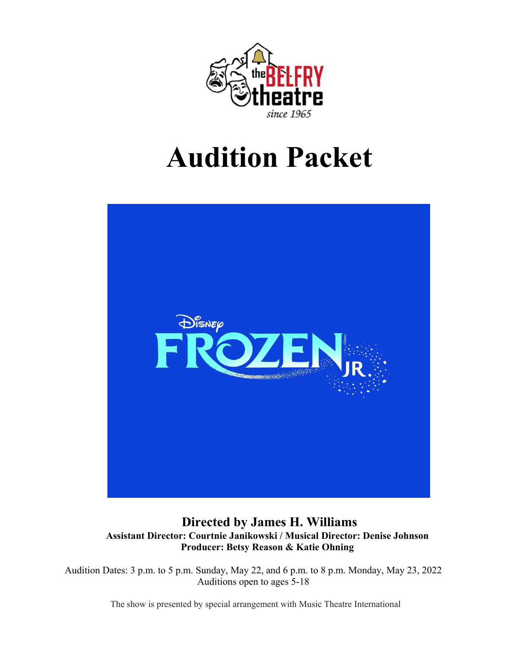

# **Audition Packet**



### **Directed by James H. Williams Assistant Director: Courtnie Janikowski / Musical Director: Denise Johnson Producer: Betsy Reason & Katie Ohning**

Audition Dates: 3 p.m. to 5 p.m. Sunday, May 22, and 6 p.m. to 8 p.m. Monday, May 23, 2022 Auditions open to ages 5-18

The show is presented by special arrangement with Music Theatre International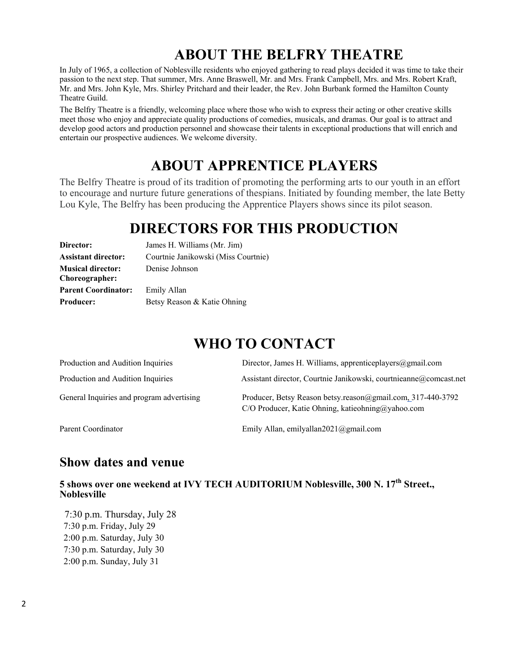# **ABOUT THE BELFRY THEATRE**

In July of 1965, a collection of Noblesville residents who enjoyed gathering to read plays decided it was time to take their passion to the next step. That summer, Mrs. Anne Braswell, Mr. and Mrs. Frank Campbell, Mrs. and Mrs. Robert Kraft, Mr. and Mrs. John Kyle, Mrs. Shirley Pritchard and their leader, the Rev. John Burbank formed the Hamilton County Theatre Guild.

The Belfry Theatre is a friendly, welcoming place where those who wish to express their acting or other creative skills meet those who enjoy and appreciate quality productions of comedies, musicals, and dramas. Our goal is to attract and develop good actors and production personnel and showcase their talents in exceptional productions that will enrich and entertain our prospective audiences. We welcome diversity.

# **ABOUT APPRENTICE PLAYERS**

The Belfry Theatre is proud of its tradition of promoting the performing arts to our youth in an effort to encourage and nurture future generations of thespians. Initiated by founding member, the late Betty Lou Kyle, The Belfry has been producing the Apprentice Players shows since its pilot season.

# **DIRECTORS FOR THIS PRODUCTION**

| Director:                  | James H. Williams (Mr. Jim)         |  |  |
|----------------------------|-------------------------------------|--|--|
| <b>Assistant director:</b> | Courtnie Janikowski (Miss Courtnie) |  |  |
| <b>Musical director:</b>   | Denise Johnson                      |  |  |
| Choreographer:             |                                     |  |  |
| <b>Parent Coordinator:</b> | Emily Allan                         |  |  |
| <b>Producer:</b>           | Betsy Reason & Katie Ohning         |  |  |

# **WHO TO CONTACT**

| Production and Audition Inquiries         | Director, James H. Williams, apprenticeplayers $(\partial g$ mail.com                                            |  |
|-------------------------------------------|------------------------------------------------------------------------------------------------------------------|--|
| Production and Audition Inquiries         | Assistant director, Courtnie Janikowski, courtnieanne@comcast.net                                                |  |
| General Inquiries and program advertising | Producer, Betsy Reason betsy.reason@gmail.com, 317-440-3792<br>C/O Producer, Katie Ohning, katieohning@yahoo.com |  |
| Parent Coordinator                        | Emily Allan, emilyallan2021@gmail.com                                                                            |  |

# **Show dates and venue**

**5 shows over one weekend at IVY TECH AUDITORIUM Noblesville, 300 N. 17th Street., Noblesville** 

 7:30 p.m. Thursday, July 28 7:30 p.m. Friday, July 29 2:00 p.m. Saturday, July 30 7:30 p.m. Saturday, July 30 2:00 p.m. Sunday, July 31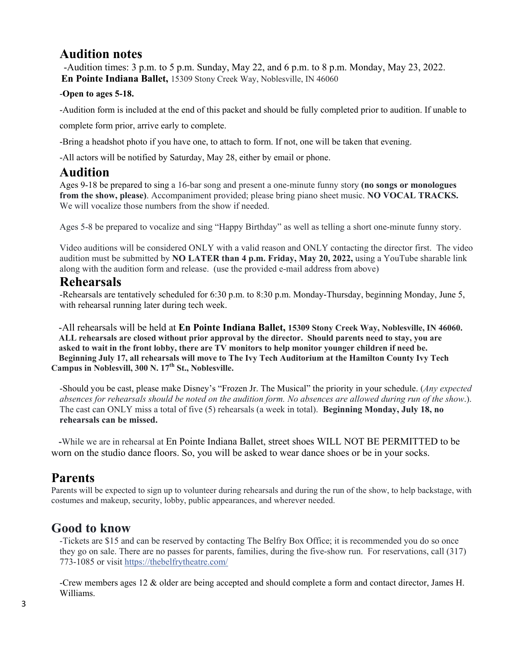# **Audition notes**

 -Audition times: 3 p.m. to 5 p.m. Sunday, May 22, and 6 p.m. to 8 p.m. Monday, May 23, 2022. **En Pointe Indiana Ballet,** 15309 Stony Creek Way, Noblesville, IN 46060

#### -**Open to ages 5-18.**

-Audition form is included at the end of this packet and should be fully completed prior to audition. If unable to

complete form prior, arrive early to complete.

-Bring a headshot photo if you have one, to attach to form. If not, one will be taken that evening.

-All actors will be notified by Saturday, May 28, either by email or phone.

### **Audition**

Ages 9-18 be prepared to sing a 16-bar song and present a one-minute funny story **(no songs or monologues from the show, please)**. Accompaniment provided; please bring piano sheet music. **NO VOCAL TRACKS.**  We will vocalize those numbers from the show if needed.

Ages 5-8 be prepared to vocalize and sing "Happy Birthday" as well as telling a short one-minute funny story.

Video auditions will be considered ONLY with a valid reason and ONLY contacting the director first. The video audition must be submitted by **NO LATER than 4 p.m. Friday, May 20, 2022,** using a YouTube sharable link along with the audition form and release. (use the provided e-mail address from above)

### **Rehearsals**

-Rehearsals are tentatively scheduled for 6:30 p.m. to 8:30 p.m. Monday-Thursday, beginning Monday, June 5, with rehearsal running later during tech week.

-All rehearsals will be held at **En Pointe Indiana Ballet, 15309 Stony Creek Way, Noblesville, IN 46060. ALL rehearsals are closed without prior approval by the director. Should parents need to stay, you are asked to wait in the front lobby, there are TV monitors to help monitor younger children if need be. Beginning July 17, all rehearsals will move to The Ivy Tech Auditorium at the Hamilton County Ivy Tech Campus in Noblesvill, 300 N. 17th St., Noblesville.**

-Should you be cast, please make Disney's "Frozen Jr. The Musical" the priority in your schedule. (*Any expected absences for rehearsals should be noted on the audition form. No absences are allowed during run of the show*.). The cast can ONLY miss a total of five (5) rehearsals (a week in total). **Beginning Monday, July 18, no rehearsals can be missed.**

 **-**While we are in rehearsal at En Pointe Indiana Ballet, street shoes WILL NOT BE PERMITTED to be worn on the studio dance floors. So, you will be asked to wear dance shoes or be in your socks.

# **Parents**

Parents will be expected to sign up to volunteer during rehearsals and during the run of the show, to help backstage, with costumes and makeup, security, lobby, public appearances, and wherever needed.

# **Good to know**

-Tickets are \$15 and can be reserved by contacting The Belfry Box Office; it is recommended you do so once they go on sale. There are no passes for parents, families, during the five-show run. For reservations, call (317) 773-1085 or visit [https://thebelfrytheatre.com/](https://l.facebook.com/l.php?u=https%3A%2F%2Fthebelfrytheatre.com%2F&h=ATMzM3bYFlC4ZlyB4_1YY5BLXtcXJPJGNW8_Kjw_aSKMRgj2RjJS0pbojW8Xgxr8JryP0zfzfhHn5YlXcsWPefsSexK_maksxdVHCF0NcXLScT-h6nLwK9jrcqzVCm6hg3Dt&s=1)

-Crew members ages 12 & older are being accepted and should complete a form and contact director, James H. Williams.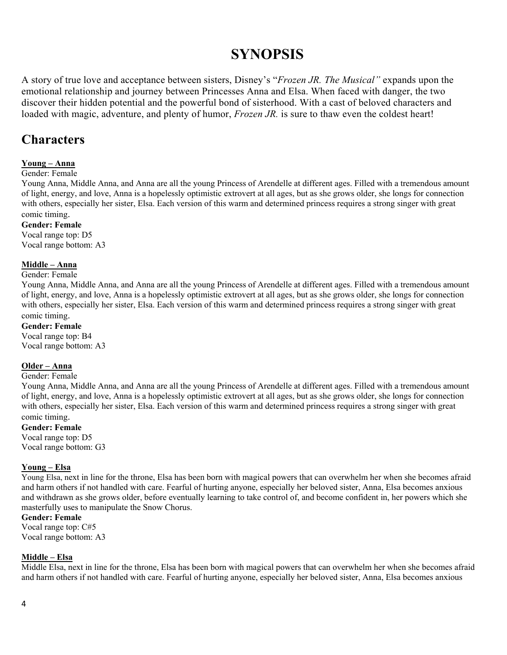# **SYNOPSIS**

A story of true love and acceptance between sisters, Disney's "*Frozen JR. The Musical"* expands upon the emotional relationship and journey between Princesses Anna and Elsa. When faced with danger, the two discover their hidden potential and the powerful bond of sisterhood. With a cast of beloved characters and loaded with magic, adventure, and plenty of humor, *Frozen JR.* is sure to thaw even the coldest heart!

# **Characters**

### **Young – Anna**

#### Gender: Female

Young Anna, Middle Anna, and Anna are all the young Princess of Arendelle at different ages. Filled with a tremendous amount of light, energy, and love, Anna is a hopelessly optimistic extrovert at all ages, but as she grows older, she longs for connection with others, especially her sister, Elsa. Each version of this warm and determined princess requires a strong singer with great comic timing.

#### **Gender: Female**

Vocal range top: D5 Vocal range bottom: A3

#### **Middle – Anna**

#### Gender: Female

Young Anna, Middle Anna, and Anna are all the young Princess of Arendelle at different ages. Filled with a tremendous amount of light, energy, and love, Anna is a hopelessly optimistic extrovert at all ages, but as she grows older, she longs for connection with others, especially her sister, Elsa. Each version of this warm and determined princess requires a strong singer with great comic timing.

### **Gender: Female**

Vocal range top: B4 Vocal range bottom: A3

#### **Older – Anna**

#### Gender: Female

Young Anna, Middle Anna, and Anna are all the young Princess of Arendelle at different ages. Filled with a tremendous amount of light, energy, and love, Anna is a hopelessly optimistic extrovert at all ages, but as she grows older, she longs for connection with others, especially her sister, Elsa. Each version of this warm and determined princess requires a strong singer with great comic timing.

#### **Gender: Female**

Vocal range top: D5 Vocal range bottom: G3

#### **Young – Elsa**

Young Elsa, next in line for the throne, Elsa has been born with magical powers that can overwhelm her when she becomes afraid and harm others if not handled with care. Fearful of hurting anyone, especially her beloved sister, Anna, Elsa becomes anxious and withdrawn as she grows older, before eventually learning to take control of, and become confident in, her powers which she masterfully uses to manipulate the Snow Chorus.

#### **Gender: Female**

Vocal range top: C#5 Vocal range bottom: A3

#### **Middle – Elsa**

Middle Elsa, next in line for the throne, Elsa has been born with magical powers that can overwhelm her when she becomes afraid and harm others if not handled with care. Fearful of hurting anyone, especially her beloved sister, Anna, Elsa becomes anxious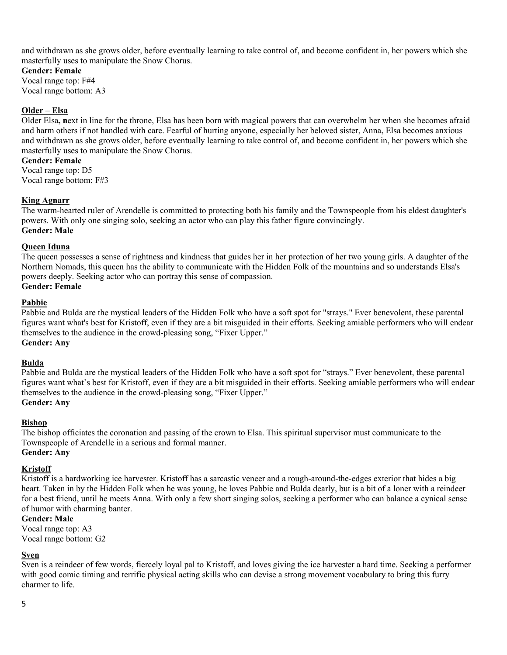and withdrawn as she grows older, before eventually learning to take control of, and become confident in, her powers which she masterfully uses to manipulate the Snow Chorus.

#### **Gender: Female**

Vocal range top: F#4 Vocal range bottom: A3

#### **Older – Elsa**

Older Elsa**, n**ext in line for the throne, Elsa has been born with magical powers that can overwhelm her when she becomes afraid and harm others if not handled with care. Fearful of hurting anyone, especially her beloved sister, Anna, Elsa becomes anxious and withdrawn as she grows older, before eventually learning to take control of, and become confident in, her powers which she masterfully uses to manipulate the Snow Chorus.

**Gender: Female**

Vocal range top: D5 Vocal range bottom: F#3

#### **King Agnarr**

The warm-hearted ruler of Arendelle is committed to protecting both his family and the Townspeople from his eldest daughter's powers. With only one singing solo, seeking an actor who can play this father figure convincingly. **Gender: Male**

#### **Queen Iduna**

The queen possesses a sense of rightness and kindness that guides her in her protection of her two young girls. A daughter of the Northern Nomads, this queen has the ability to communicate with the Hidden Folk of the mountains and so understands Elsa's powers deeply. Seeking actor who can portray this sense of compassion.

### **Gender: Female**

#### **Pabbie**

Pabbie and Bulda are the mystical leaders of the Hidden Folk who have a soft spot for "strays." Ever benevolent, these parental figures want what's best for Kristoff, even if they are a bit misguided in their efforts. Seeking amiable performers who will endear themselves to the audience in the crowd-pleasing song, "Fixer Upper." **Gender: Any**

#### **Bulda**

Pabbie and Bulda are the mystical leaders of the Hidden Folk who have a soft spot for "strays." Ever benevolent, these parental figures want what's best for Kristoff, even if they are a bit misguided in their efforts. Seeking amiable performers who will endear themselves to the audience in the crowd-pleasing song, "Fixer Upper."

#### **Gender: Any**

#### **Bishop**

The bishop officiates the coronation and passing of the crown to Elsa. This spiritual supervisor must communicate to the Townspeople of Arendelle in a serious and formal manner. **Gender: Any**

#### **Kristoff**

Kristoff is a hardworking ice harvester. Kristoff has a sarcastic veneer and a rough-around-the-edges exterior that hides a big heart. Taken in by the Hidden Folk when he was young, he loves Pabbie and Bulda dearly, but is a bit of a loner with a reindeer for a best friend, until he meets Anna. With only a few short singing solos, seeking a performer who can balance a cynical sense of humor with charming banter.

**Gender: Male** Vocal range top: A3

Vocal range bottom: G2

#### **Sven**

Sven is a reindeer of few words, fiercely loyal pal to Kristoff, and loves giving the ice harvester a hard time. Seeking a performer with good comic timing and terrific physical acting skills who can devise a strong movement vocabulary to bring this furry charmer to life.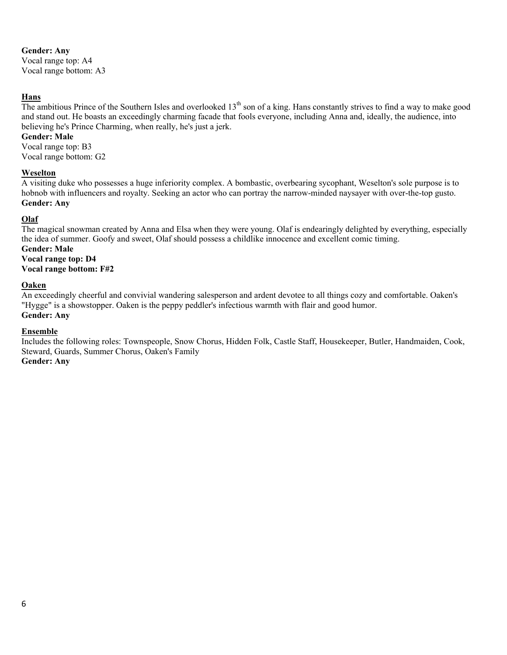#### **Gender: Any**

Vocal range top: A4 Vocal range bottom: A3

#### **Hans**

The ambitious Prince of the Southern Isles and overlooked  $13<sup>th</sup>$  son of a king. Hans constantly strives to find a way to make good and stand out. He boasts an exceedingly charming facade that fools everyone, including Anna and, ideally, the audience, into believing he's Prince Charming, when really, he's just a jerk.

#### **Gender: Male**

Vocal range top: B3 Vocal range bottom: G2

#### **Weselton**

A visiting duke who possesses a huge inferiority complex. A bombastic, overbearing sycophant, Weselton's sole purpose is to hobnob with influencers and royalty. Seeking an actor who can portray the narrow-minded naysayer with over-the-top gusto. **Gender: Any**

#### **Olaf**

The magical snowman created by Anna and Elsa when they were young. Olaf is endearingly delighted by everything, especially the idea of summer. Goofy and sweet, Olaf should possess a childlike innocence and excellent comic timing.

#### **Gender: Male Vocal range top: D4 Vocal range bottom: F#2**

#### **Oaken**

An exceedingly cheerful and convivial wandering salesperson and ardent devotee to all things cozy and comfortable. Oaken's "Hygge" is a showstopper. Oaken is the peppy peddler's infectious warmth with flair and good humor. **Gender: Any**

#### **Ensemble**

Includes the following roles: Townspeople, Snow Chorus, Hidden Folk, Castle Staff, Housekeeper, Butler, Handmaiden, Cook, Steward, Guards, Summer Chorus, Oaken's Family

**Gender: Any**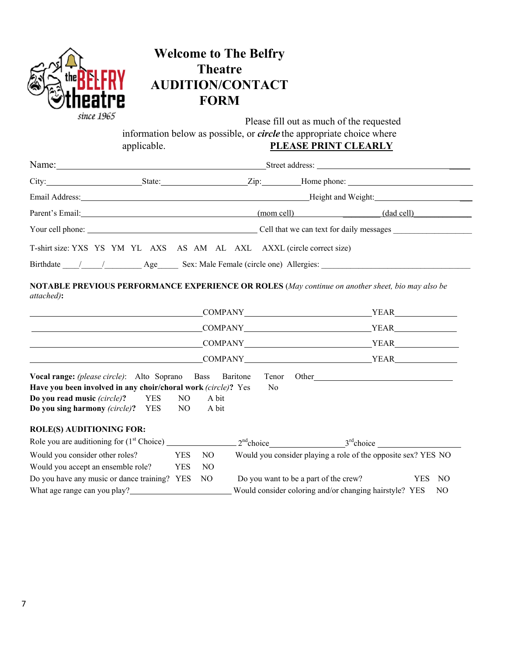| the<br>since 1965                                                                                                                                                                                                                                                                 | applicable.                            | <b>Welcome to The Belfry</b><br><b>Theatre</b><br><b>AUDITION/CONTACT</b><br><b>FORM</b> | Please fill out as much of the requested<br>information below as possible, or <i>circle</i> the appropriate choice where<br>PLEASE PRINT CLEARLY                                                                              |
|-----------------------------------------------------------------------------------------------------------------------------------------------------------------------------------------------------------------------------------------------------------------------------------|----------------------------------------|------------------------------------------------------------------------------------------|-------------------------------------------------------------------------------------------------------------------------------------------------------------------------------------------------------------------------------|
|                                                                                                                                                                                                                                                                                   |                                        |                                                                                          | Name: Name: Name: Name: Name: Name: Name: Name: Name: Name: Name: Name: Name: Name: Name: Name: Name: Name: Name: Name: Name: Name: Name: Name: Name: Name: Name: Name: Name: Name: Name: Name: Name: Name: Name: Name: Name: |
|                                                                                                                                                                                                                                                                                   |                                        |                                                                                          |                                                                                                                                                                                                                               |
|                                                                                                                                                                                                                                                                                   |                                        |                                                                                          |                                                                                                                                                                                                                               |
|                                                                                                                                                                                                                                                                                   |                                        |                                                                                          |                                                                                                                                                                                                                               |
|                                                                                                                                                                                                                                                                                   |                                        |                                                                                          | Parent's Email: (mom cell) (dad cell) (dad cell)                                                                                                                                                                              |
|                                                                                                                                                                                                                                                                                   |                                        |                                                                                          |                                                                                                                                                                                                                               |
|                                                                                                                                                                                                                                                                                   |                                        |                                                                                          |                                                                                                                                                                                                                               |
|                                                                                                                                                                                                                                                                                   |                                        |                                                                                          | Birthdate / / / Age Sex: Male Female (circle one) Allergies:<br>NOTABLE PREVIOUS PERFORMANCE EXPERIENCE OR ROLES (May continue on another sheet, bio may also be                                                              |
|                                                                                                                                                                                                                                                                                   |                                        |                                                                                          | COMPANY VEAR YEAR                                                                                                                                                                                                             |
|                                                                                                                                                                                                                                                                                   |                                        |                                                                                          | COMPANY VEAR                                                                                                                                                                                                                  |
|                                                                                                                                                                                                                                                                                   |                                        |                                                                                          |                                                                                                                                                                                                                               |
| T-shirt size: YXS YS YM YL AXS AS AM AL AXL AXXL (circle correct size)<br>attached):<br>Vocal range: (please circle): Alto Soprano Bass Baritone<br>Have you been involved in any choir/choral work (circle)? Yes<br>Do you read music (circle)?<br>Do you sing harmony (circle)? | <b>YES</b><br>NO.<br><b>YES</b><br>NO. | No<br>A bit<br>A bit                                                                     | Tenor Other                                                                                                                                                                                                                   |
|                                                                                                                                                                                                                                                                                   |                                        |                                                                                          | COMPANY VEAR<br>COMPANY YEAR YEAR                                                                                                                                                                                             |
| <b>ROLE(S) AUDITIONING FOR:</b>                                                                                                                                                                                                                                                   |                                        |                                                                                          | $2nd choice$ $3rd choice$                                                                                                                                                                                                     |
|                                                                                                                                                                                                                                                                                   | <b>YES</b>                             | NO                                                                                       | Would you consider playing a role of the opposite sex? YES NO                                                                                                                                                                 |
| Would you consider other roles?<br>Would you accept an ensemble role?<br>Do you have any music or dance training? YES                                                                                                                                                             | <b>YES</b>                             | NO<br>N <sub>O</sub>                                                                     | Do you want to be a part of the crew?<br><b>YES</b><br>NO                                                                                                                                                                     |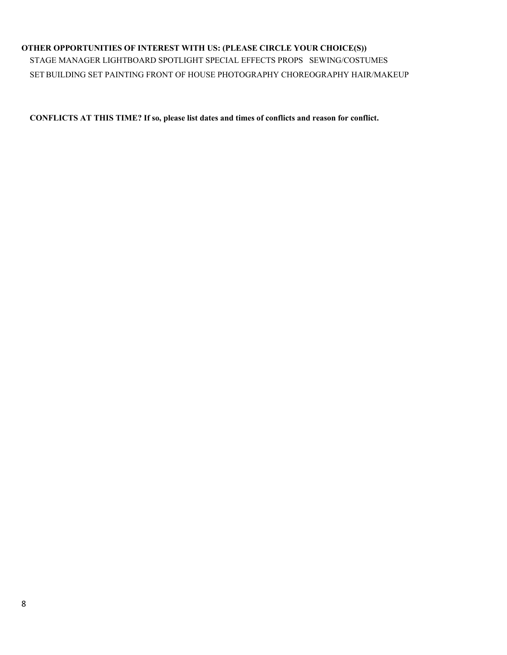#### **OTHER OPPORTUNITIES OF INTEREST WITH US: (PLEASE CIRCLE YOUR CHOICE(S))**

STAGE MANAGER LIGHTBOARD SPOTLIGHT SPECIAL EFFECTS PROPS SEWING/COSTUMES SET BUILDING SET PAINTING FRONT OF HOUSE PHOTOGRAPHY CHOREOGRAPHY HAIR/MAKEUP

**CONFLICTS AT THIS TIME? If so, please list dates and times of conflicts and reason for conflict.**